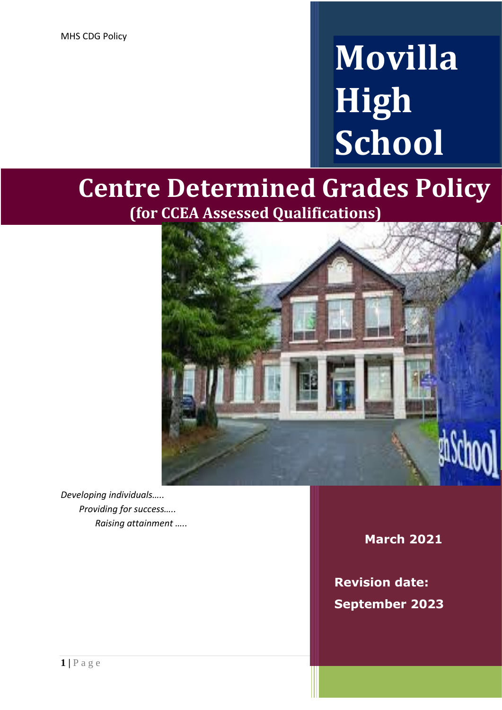# **Movilla High School**

# **Centre Determined Grades Policy (for CCEA Assessed Qualifications)**



*Developing individuals….. Providing for success….. Raising attainment …..*

**March 2021**

**Revision date: September 2023**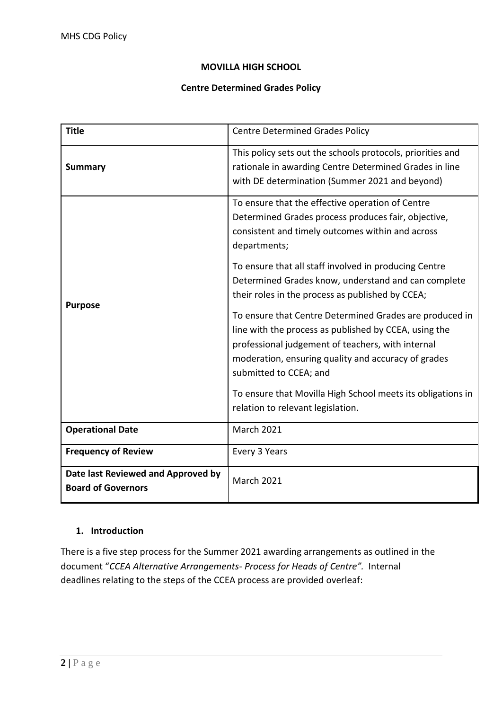#### **MOVILLA HIGH SCHOOL**

#### **Centre Determined Grades Policy**

| <b>Title</b>                                                    | <b>Centre Determined Grades Policy</b>                                                                                                                                                                                                                 |  |
|-----------------------------------------------------------------|--------------------------------------------------------------------------------------------------------------------------------------------------------------------------------------------------------------------------------------------------------|--|
| <b>Summary</b>                                                  | This policy sets out the schools protocols, priorities and<br>rationale in awarding Centre Determined Grades in line<br>with DE determination (Summer 2021 and beyond)                                                                                 |  |
| <b>Purpose</b>                                                  | To ensure that the effective operation of Centre<br>Determined Grades process produces fair, objective,<br>consistent and timely outcomes within and across<br>departments;                                                                            |  |
|                                                                 | To ensure that all staff involved in producing Centre<br>Determined Grades know, understand and can complete<br>their roles in the process as published by CCEA;                                                                                       |  |
|                                                                 | To ensure that Centre Determined Grades are produced in<br>line with the process as published by CCEA, using the<br>professional judgement of teachers, with internal<br>moderation, ensuring quality and accuracy of grades<br>submitted to CCEA; and |  |
|                                                                 | To ensure that Movilla High School meets its obligations in<br>relation to relevant legislation.                                                                                                                                                       |  |
| <b>Operational Date</b>                                         | <b>March 2021</b>                                                                                                                                                                                                                                      |  |
| <b>Frequency of Review</b>                                      | Every 3 Years                                                                                                                                                                                                                                          |  |
| Date last Reviewed and Approved by<br><b>Board of Governors</b> | <b>March 2021</b>                                                                                                                                                                                                                                      |  |

# **1. Introduction**

There is a five step process for the Summer 2021 awarding arrangements as outlined in the document "*CCEA Alternative Arrangements- Process for Heads of Centre".* Internal deadlines relating to the steps of the CCEA process are provided overleaf: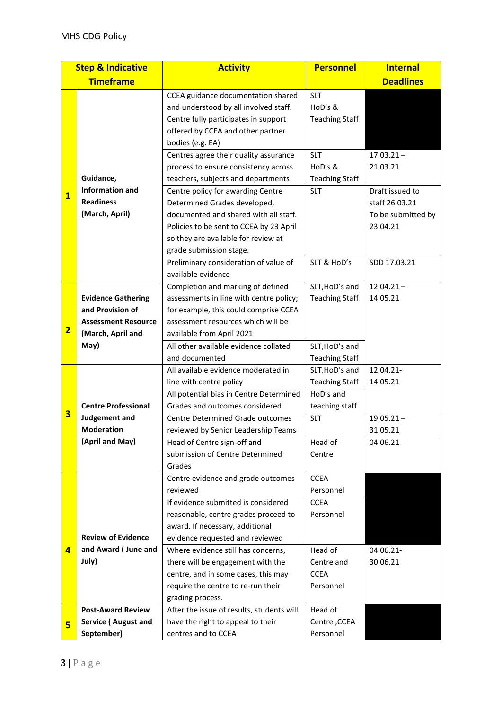| <b>Step &amp; Indicative</b> |                            | <b>Activity</b>                           | <b>Personnel</b>      | <b>Internal</b>    |
|------------------------------|----------------------------|-------------------------------------------|-----------------------|--------------------|
| <b>Timeframe</b>             |                            |                                           |                       | <b>Deadlines</b>   |
|                              |                            | CCEA guidance documentation shared        | <b>SLT</b>            |                    |
|                              |                            | and understood by all involved staff.     | HoD's &               |                    |
|                              |                            | Centre fully participates in support      | <b>Teaching Staff</b> |                    |
|                              |                            | offered by CCEA and other partner         |                       |                    |
|                              |                            | bodies (e.g. EA)                          |                       |                    |
|                              |                            | Centres agree their quality assurance     | <b>SLT</b>            | $17.03.21 -$       |
|                              |                            | process to ensure consistency across      | HoD's &               | 21.03.21           |
| $\overline{\mathbf{1}}$      | Guidance,                  | teachers, subjects and departments        | <b>Teaching Staff</b> |                    |
|                              | <b>Information and</b>     | Centre policy for awarding Centre         | <b>SLT</b>            | Draft issued to    |
|                              | <b>Readiness</b>           | Determined Grades developed,              |                       | staff 26.03.21     |
|                              | (March, April)             | documented and shared with all staff.     |                       | To be submitted by |
|                              |                            | Policies to be sent to CCEA by 23 April   |                       | 23.04.21           |
|                              |                            | so they are available for review at       |                       |                    |
|                              |                            | grade submission stage.                   |                       |                    |
|                              |                            | Preliminary consideration of value of     | SLT & HoD's           | SDD 17.03.21       |
|                              |                            | available evidence                        |                       |                    |
|                              |                            | Completion and marking of defined         | SLT, HoD's and        | $12.04.21 -$       |
| $\overline{\mathbf{2}}$      | <b>Evidence Gathering</b>  | assessments in line with centre policy;   | <b>Teaching Staff</b> | 14.05.21           |
|                              | and Provision of           | for example, this could comprise CCEA     |                       |                    |
|                              | <b>Assessment Resource</b> | assessment resources which will be        |                       |                    |
|                              | (March, April and          | available from April 2021                 |                       |                    |
|                              | May)                       | All other available evidence collated     | SLT, HoD's and        |                    |
|                              |                            | and documented                            | <b>Teaching Staff</b> |                    |
| 3                            |                            | All available evidence moderated in       | SLT, HoD's and        | 12.04.21-          |
|                              |                            | line with centre policy                   | <b>Teaching Staff</b> | 14.05.21           |
|                              |                            | All potential bias in Centre Determined   | HoD's and             |                    |
|                              | <b>Centre Professional</b> | Grades and outcomes considered            | teaching staff        |                    |
|                              | Judgement and              | <b>Centre Determined Grade outcomes</b>   | <b>SLT</b>            | $19.05.21 -$       |
|                              | <b>Moderation</b>          | reviewed by Senior Leadership Teams       |                       | 31.05.21           |
|                              | (April and May)            | Head of Centre sign-off and               | Head of               | 04.06.21           |
|                              |                            | submission of Centre Determined           | Centre                |                    |
|                              |                            | Grades                                    |                       |                    |
|                              |                            | Centre evidence and grade outcomes        | <b>CCEA</b>           |                    |
|                              |                            | reviewed                                  | Personnel             |                    |
|                              |                            | If evidence submitted is considered       | <b>CCEA</b>           |                    |
|                              |                            | reasonable, centre grades proceed to      | Personnel             |                    |
|                              |                            | award. If necessary, additional           |                       |                    |
|                              | <b>Review of Evidence</b>  | evidence requested and reviewed           |                       |                    |
| 4                            | and Award (June and        | Where evidence still has concerns,        | Head of               | 04.06.21-          |
|                              | July)                      | there will be engagement with the         | Centre and            | 30.06.21           |
|                              |                            | centre, and in some cases, this may       | <b>CCEA</b>           |                    |
|                              |                            | require the centre to re-run their        | Personnel             |                    |
|                              |                            | grading process.                          |                       |                    |
|                              | <b>Post-Award Review</b>   | After the issue of results, students will | Head of               |                    |
| 5                            | <b>Service (August and</b> | have the right to appeal to their         | Centre, CCEA          |                    |
|                              | September)                 | centres and to CCEA                       | Personnel             |                    |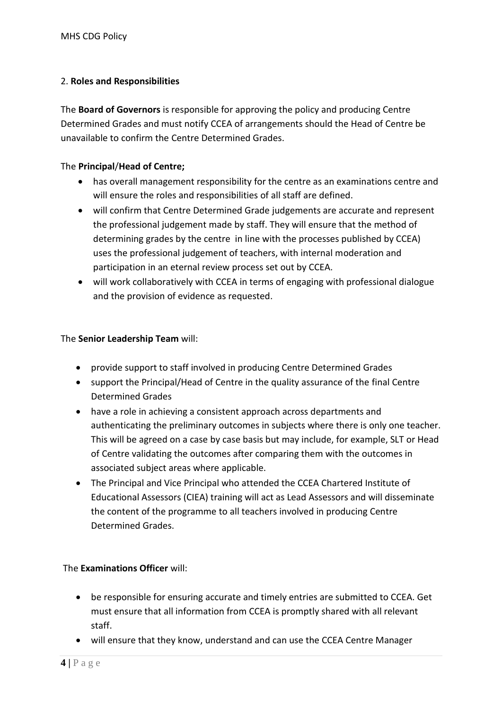# 2. **Roles and Responsibilities**

The **Board of Governors** is responsible for approving the policy and producing Centre Determined Grades and must notify CCEA of arrangements should the Head of Centre be unavailable to confirm the Centre Determined Grades.

#### The **Principal**/**Head of Centre;**

- has overall management responsibility for the centre as an examinations centre and will ensure the roles and responsibilities of all staff are defined.
- will confirm that Centre Determined Grade judgements are accurate and represent the professional judgement made by staff. They will ensure that the method of determining grades by the centre in line with the processes published by CCEA) uses the professional judgement of teachers, with internal moderation and participation in an eternal review process set out by CCEA.
- will work collaboratively with CCEA in terms of engaging with professional dialogue and the provision of evidence as requested.

#### The **Senior Leadership Team** will:

- provide support to staff involved in producing Centre Determined Grades
- support the Principal/Head of Centre in the quality assurance of the final Centre Determined Grades
- have a role in achieving a consistent approach across departments and authenticating the preliminary outcomes in subjects where there is only one teacher. This will be agreed on a case by case basis but may include, for example, SLT or Head of Centre validating the outcomes after comparing them with the outcomes in associated subject areas where applicable.
- The Principal and Vice Principal who attended the CCEA Chartered Institute of Educational Assessors (CIEA) training will act as Lead Assessors and will disseminate the content of the programme to all teachers involved in producing Centre Determined Grades.

#### The **Examinations Officer** will:

- be responsible for ensuring accurate and timely entries are submitted to CCEA. Get must ensure that all information from CCEA is promptly shared with all relevant staff.
- will ensure that they know, understand and can use the CCEA Centre Manager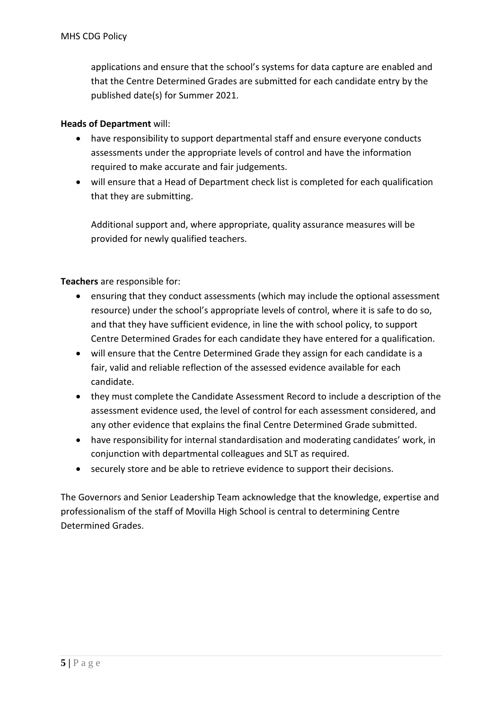applications and ensure that the school's systems for data capture are enabled and that the Centre Determined Grades are submitted for each candidate entry by the published date(s) for Summer 2021.

#### **Heads of Department** will:

- have responsibility to support departmental staff and ensure everyone conducts assessments under the appropriate levels of control and have the information required to make accurate and fair judgements.
- will ensure that a Head of Department check list is completed for each qualification that they are submitting.

Additional support and, where appropriate, quality assurance measures will be provided for newly qualified teachers.

**Teachers** are responsible for:

- ensuring that they conduct assessments (which may include the optional assessment resource) under the school's appropriate levels of control, where it is safe to do so, and that they have sufficient evidence, in line the with school policy, to support Centre Determined Grades for each candidate they have entered for a qualification.
- will ensure that the Centre Determined Grade they assign for each candidate is a fair, valid and reliable reflection of the assessed evidence available for each candidate.
- they must complete the Candidate Assessment Record to include a description of the assessment evidence used, the level of control for each assessment considered, and any other evidence that explains the final Centre Determined Grade submitted.
- have responsibility for internal standardisation and moderating candidates' work, in conjunction with departmental colleagues and SLT as required.
- securely store and be able to retrieve evidence to support their decisions.

The Governors and Senior Leadership Team acknowledge that the knowledge, expertise and professionalism of the staff of Movilla High School is central to determining Centre Determined Grades.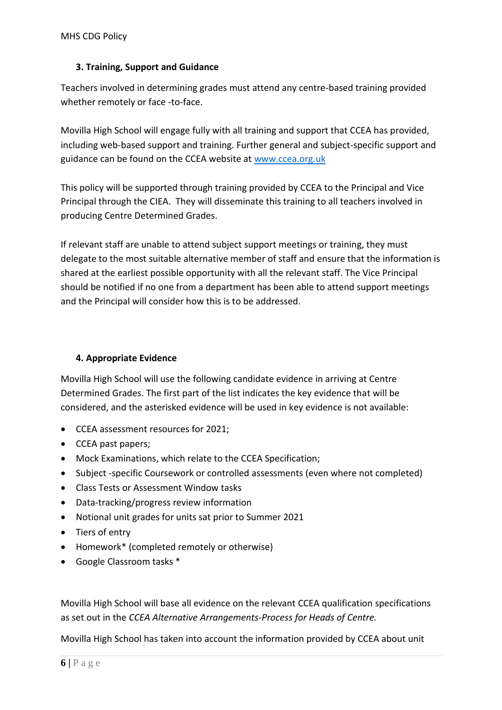# **3. Training, Support and Guidance**

Teachers involved in determining grades must attend any centre-based training provided whether remotely or face -to-face.

Movilla High School will engage fully with all training and support that CCEA has provided, including web-based support and training. Further general and subject-specific support and guidance can be found on the CCEA website at [www.ccea.org.uk](http://www.ccea.org.uk/)

This policy will be supported through training provided by CCEA to the Principal and Vice Principal through the CIEA. They will disseminate this training to all teachers involved in producing Centre Determined Grades.

If relevant staff are unable to attend subject support meetings or training, they must delegate to the most suitable alternative member of staff and ensure that the information is shared at the earliest possible opportunity with all the relevant staff. The Vice Principal should be notified if no one from a department has been able to attend support meetings and the Principal will consider how this is to be addressed.

# **4. Appropriate Evidence**

Movilla High School will use the following candidate evidence in arriving at Centre Determined Grades. The first part of the list indicates the key evidence that will be considered, and the asterisked evidence will be used in key evidence is not available:

- CCEA assessment resources for 2021;
- CCEA past papers;
- Mock Examinations, which relate to the CCEA Specification;
- Subject -specific Coursework or controlled assessments (even where not completed)
- Class Tests or Assessment Window tasks
- Data-tracking/progress review information
- Notional unit grades for units sat prior to Summer 2021
- Tiers of entry
- Homework\* (completed remotely or otherwise)
- Google Classroom tasks \*

Movilla High School will base all evidence on the relevant CCEA qualification specifications as set out in the *CCEA Alternative Arrangements-Process for Heads of Centre.*

Movilla High School has taken into account the information provided by CCEA about unit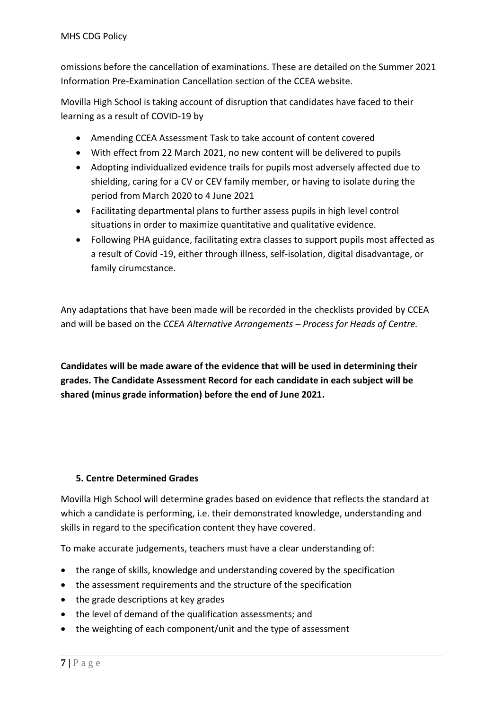omissions before the cancellation of examinations. These are detailed on the Summer 2021 Information Pre-Examination Cancellation section of the CCEA website.

Movilla High School is taking account of disruption that candidates have faced to their learning as a result of COVID-19 by

- Amending CCEA Assessment Task to take account of content covered
- With effect from 22 March 2021, no new content will be delivered to pupils
- Adopting individualized evidence trails for pupils most adversely affected due to shielding, caring for a CV or CEV family member, or having to isolate during the period from March 2020 to 4 June 2021
- Facilitating departmental plans to further assess pupils in high level control situations in order to maximize quantitative and qualitative evidence.
- Following PHA guidance, facilitating extra classes to support pupils most affected as a result of Covid -19, either through illness, self-isolation, digital disadvantage, or family cirumcstance.

Any adaptations that have been made will be recorded in the checklists provided by CCEA and will be based on the *CCEA Alternative Arrangements – Process for Heads of Centre.*

**Candidates will be made aware of the evidence that will be used in determining their grades. The Candidate Assessment Record for each candidate in each subject will be shared (minus grade information) before the end of June 2021.**

#### **5. Centre Determined Grades**

Movilla High School will determine grades based on evidence that reflects the standard at which a candidate is performing, i.e. their demonstrated knowledge, understanding and skills in regard to the specification content they have covered.

To make accurate judgements, teachers must have a clear understanding of:

- the range of skills, knowledge and understanding covered by the specification
- the assessment requirements and the structure of the specification
- the grade descriptions at key grades
- the level of demand of the qualification assessments; and
- the weighting of each component/unit and the type of assessment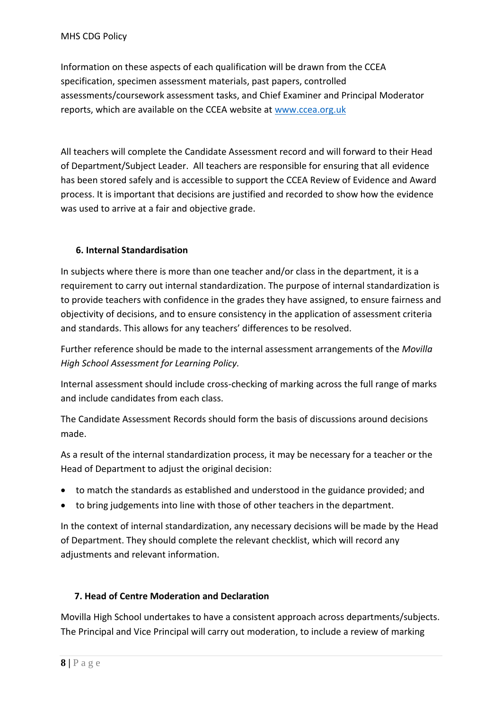Information on these aspects of each qualification will be drawn from the CCEA specification, specimen assessment materials, past papers, controlled assessments/coursework assessment tasks, and Chief Examiner and Principal Moderator reports, which are available on the CCEA website at [www.ccea.org.uk](http://www.ccea.org.uk/)

All teachers will complete the Candidate Assessment record and will forward to their Head of Department/Subject Leader. All teachers are responsible for ensuring that all evidence has been stored safely and is accessible to support the CCEA Review of Evidence and Award process. It is important that decisions are justified and recorded to show how the evidence was used to arrive at a fair and objective grade.

# **6. Internal Standardisation**

In subjects where there is more than one teacher and/or class in the department, it is a requirement to carry out internal standardization. The purpose of internal standardization is to provide teachers with confidence in the grades they have assigned, to ensure fairness and objectivity of decisions, and to ensure consistency in the application of assessment criteria and standards. This allows for any teachers' differences to be resolved.

Further reference should be made to the internal assessment arrangements of the *Movilla High School Assessment for Learning Policy.*

Internal assessment should include cross-checking of marking across the full range of marks and include candidates from each class.

The Candidate Assessment Records should form the basis of discussions around decisions made.

As a result of the internal standardization process, it may be necessary for a teacher or the Head of Department to adjust the original decision:

- to match the standards as established and understood in the guidance provided; and
- to bring judgements into line with those of other teachers in the department.

In the context of internal standardization, any necessary decisions will be made by the Head of Department. They should complete the relevant checklist, which will record any adjustments and relevant information.

#### **7. Head of Centre Moderation and Declaration**

Movilla High School undertakes to have a consistent approach across departments/subjects. The Principal and Vice Principal will carry out moderation, to include a review of marking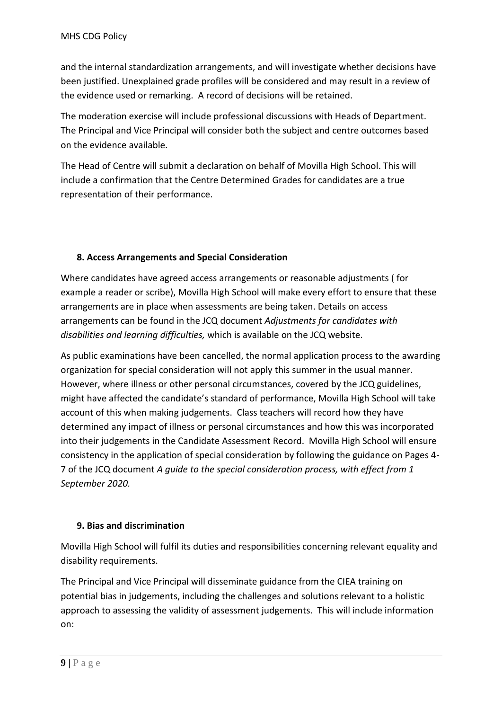and the internal standardization arrangements, and will investigate whether decisions have been justified. Unexplained grade profiles will be considered and may result in a review of the evidence used or remarking. A record of decisions will be retained.

The moderation exercise will include professional discussions with Heads of Department. The Principal and Vice Principal will consider both the subject and centre outcomes based on the evidence available.

The Head of Centre will submit a declaration on behalf of Movilla High School. This will include a confirmation that the Centre Determined Grades for candidates are a true representation of their performance.

# **8. Access Arrangements and Special Consideration**

Where candidates have agreed access arrangements or reasonable adjustments ( for example a reader or scribe), Movilla High School will make every effort to ensure that these arrangements are in place when assessments are being taken. Details on access arrangements can be found in the JCQ document *Adjustments for candidates with disabilities and learning difficulties,* which is available on the JCQ website.

As public examinations have been cancelled, the normal application process to the awarding organization for special consideration will not apply this summer in the usual manner. However, where illness or other personal circumstances, covered by the JCQ guidelines, might have affected the candidate's standard of performance, Movilla High School will take account of this when making judgements. Class teachers will record how they have determined any impact of illness or personal circumstances and how this was incorporated into their judgements in the Candidate Assessment Record. Movilla High School will ensure consistency in the application of special consideration by following the guidance on Pages 4- 7 of the JCQ document *A guide to the special consideration process, with effect from 1 September 2020.*

#### **9. Bias and discrimination**

Movilla High School will fulfil its duties and responsibilities concerning relevant equality and disability requirements.

The Principal and Vice Principal will disseminate guidance from the CIEA training on potential bias in judgements, including the challenges and solutions relevant to a holistic approach to assessing the validity of assessment judgements. This will include information on: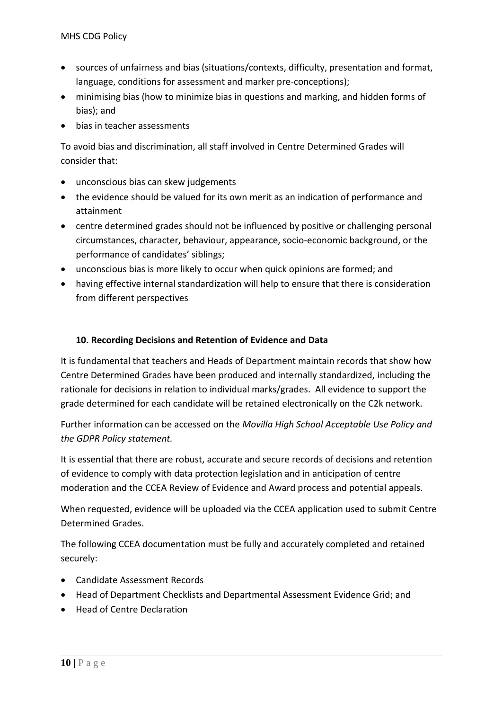- sources of unfairness and bias (situations/contexts, difficulty, presentation and format, language, conditions for assessment and marker pre-conceptions);
- minimising bias (how to minimize bias in questions and marking, and hidden forms of bias); and
- bias in teacher assessments

To avoid bias and discrimination, all staff involved in Centre Determined Grades will consider that:

- unconscious bias can skew judgements
- the evidence should be valued for its own merit as an indication of performance and attainment
- centre determined grades should not be influenced by positive or challenging personal circumstances, character, behaviour, appearance, socio-economic background, or the performance of candidates' siblings;
- unconscious bias is more likely to occur when quick opinions are formed; and
- having effective internal standardization will help to ensure that there is consideration from different perspectives

#### **10. Recording Decisions and Retention of Evidence and Data**

It is fundamental that teachers and Heads of Department maintain records that show how Centre Determined Grades have been produced and internally standardized, including the rationale for decisions in relation to individual marks/grades. All evidence to support the grade determined for each candidate will be retained electronically on the C2k network.

Further information can be accessed on the *Movilla High School Acceptable Use Policy and the GDPR Policy statement.*

It is essential that there are robust, accurate and secure records of decisions and retention of evidence to comply with data protection legislation and in anticipation of centre moderation and the CCEA Review of Evidence and Award process and potential appeals.

When requested, evidence will be uploaded via the CCEA application used to submit Centre Determined Grades.

The following CCEA documentation must be fully and accurately completed and retained securely:

- Candidate Assessment Records
- Head of Department Checklists and Departmental Assessment Evidence Grid; and
- Head of Centre Declaration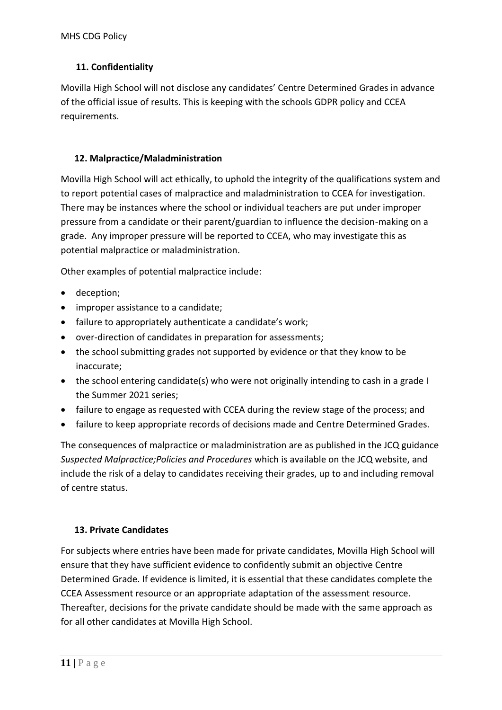# **11. Confidentiality**

Movilla High School will not disclose any candidates' Centre Determined Grades in advance of the official issue of results. This is keeping with the schools GDPR policy and CCEA requirements.

# **12. Malpractice/Maladministration**

Movilla High School will act ethically, to uphold the integrity of the qualifications system and to report potential cases of malpractice and maladministration to CCEA for investigation. There may be instances where the school or individual teachers are put under improper pressure from a candidate or their parent/guardian to influence the decision-making on a grade. Any improper pressure will be reported to CCEA, who may investigate this as potential malpractice or maladministration.

Other examples of potential malpractice include:

- deception;
- improper assistance to a candidate;
- failure to appropriately authenticate a candidate's work;
- over-direction of candidates in preparation for assessments;
- the school submitting grades not supported by evidence or that they know to be inaccurate;
- the school entering candidate(s) who were not originally intending to cash in a grade I the Summer 2021 series;
- failure to engage as requested with CCEA during the review stage of the process; and
- failure to keep appropriate records of decisions made and Centre Determined Grades.

The consequences of malpractice or maladministration are as published in the JCQ guidance *Suspected Malpractice;Policies and Procedures* which is available on the JCQ website, and include the risk of a delay to candidates receiving their grades, up to and including removal of centre status.

#### **13. Private Candidates**

For subjects where entries have been made for private candidates, Movilla High School will ensure that they have sufficient evidence to confidently submit an objective Centre Determined Grade. If evidence is limited, it is essential that these candidates complete the CCEA Assessment resource or an appropriate adaptation of the assessment resource. Thereafter, decisions for the private candidate should be made with the same approach as for all other candidates at Movilla High School.